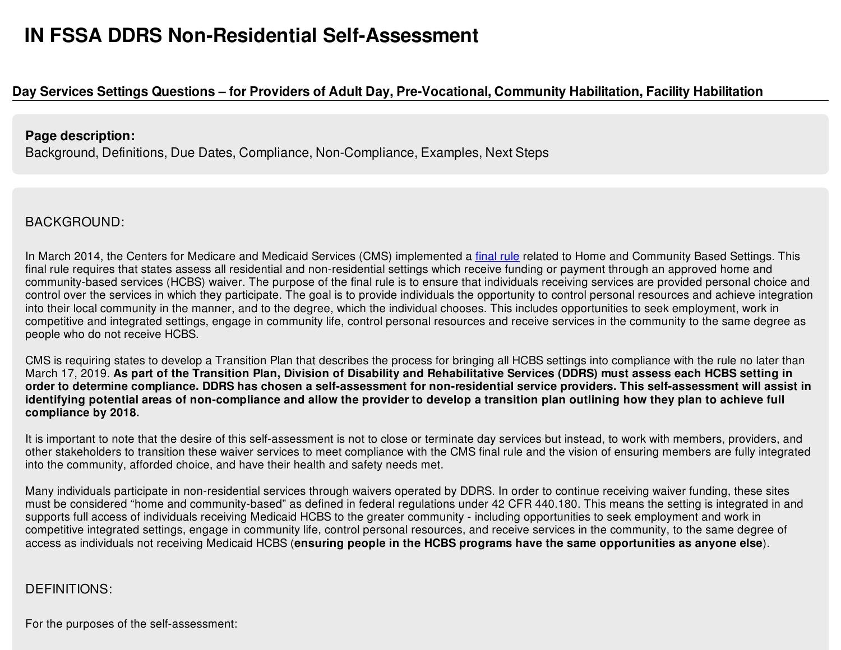# Day Services Settings Questions – for Providers of Adult Day, Pre-Vocational, Community Habilitation, Facility Habilitation

#### **Page description:**

Background, Definitions, Due Dates, Compliance, Non-Compliance, Examples, Next Steps

# BACKGROUND:

In March 2014, the Centers for Medicare and Medicaid Services (CMS) implemented a [final](https://www.gpo.gov/fdsys/pkg/FR-2014-01-16/pdf/2014-00487.pdf) rule related to Home and Community Based Settings. This final rule requires that states assess all residential and non-residential settings which receive funding or payment through an approved home and community-based services (HCBS) waiver. The purpose of the final rule is to ensure that individuals receiving services are provided personal choice and control over the services in which they participate. The goal is to provide individuals the opportunity to control personal resources and achieve integration into their local community in the manner, and to the degree, which the individual chooses. This includes opportunities to seek employment, work in competitive and integrated settings, engage in community life, control personal resources and receive services in the community to the same degree as people who do not receive HCBS.

CMS is requiring states to develop a Transition Plan that describes the process for bringing all HCBS settings into compliance with the rule no later than March 17, 2019. As part of the Transition Plan, Division of Disability and Rehabilitative Services (DDRS) must assess each HCBS setting in order to determine compliance. DDRS has chosen a self-assessment for non-residential service providers. This self-assessment will assist in identifying potential areas of non-compliance and allow the provider to develop a transition plan outlining how they plan to achieve full **compliance by 2018.**

It is important to note that the desire of this self-assessment is not to close or terminate day services but instead, to work with members, providers, and other stakeholders to transition these waiver services to meet compliance with the CMS final rule and the vision of ensuring members are fully integrated into the community, afforded choice, and have their health and safety needs met.

Many individuals participate in non-residential services through waivers operated by DDRS. In order to continue receiving waiver funding, these sites must be considered "home and community-based" as defined in federal regulations under 42 CFR 440.180. This means the setting is integrated in and supports full access of individuals receiving Medicaid HCBS to the greater community - including opportunities to seek employment and work in competitive integrated settings, engage in community life, control personal resources, and receive services in the community, to the same degree of access as individuals not receiving Medicaid HCBS (**ensuring people in the HCBS programs have the same opportunities as anyone else**).

## DEFINITIONS:

For the purposes of the self-assessment: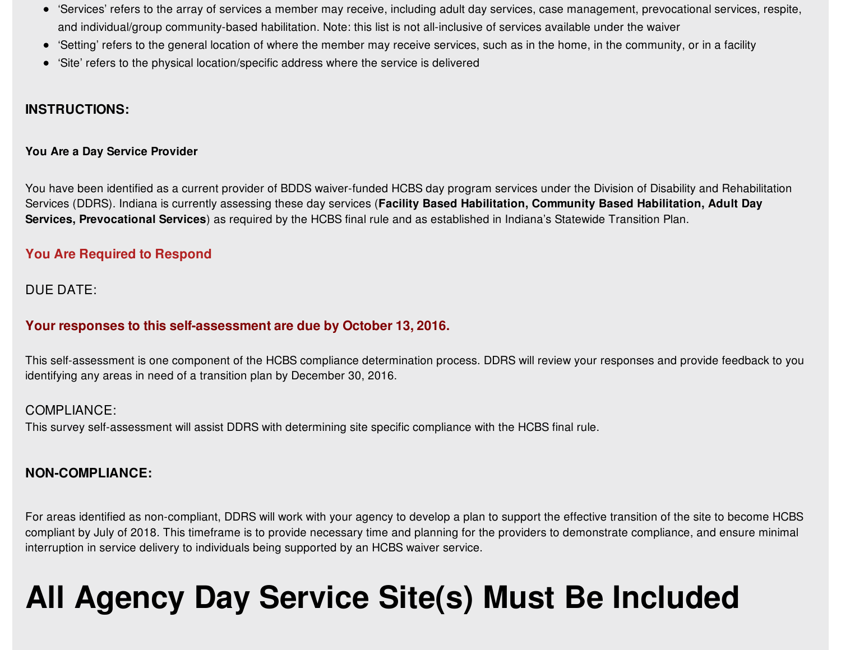- 'Services' refers to the array of services a member may receive, including adult day services, case management, prevocational services, respite, and individual/group community-based habilitation. Note: this list is not all-inclusive of services available under the waiver
- 'Setting' refers to the general location of where the member may receive services, such as in the home, in the community, or in a facility
- 'Site' refers to the physical location/specific address where the service is delivered

#### **INSTRUCTIONS:**

#### **You Are a Day Service Provider**

You have been identified as a current provider of BDDS waiver-funded HCBS day program services under the Division of Disability and Rehabilitation Services (DDRS). Indiana is currently assessing these day services (**Facility Based Habilitation, Community Based Habilitation, Adult Day Services, Prevocational Services**) as required by the HCBS final rule and as established in Indiana's Statewide Transition Plan.

#### **You Are Required to Respond**

#### DUE DATE:

#### **Your responses to this self-assessment are due by October 13, 2016.**

This self-assessment is one component of the HCBS compliance determination process. DDRS will review your responses and provide feedback to you identifying any areas in need of a transition plan by December 30, 2016.

#### COMPLIANCE:

This survey self-assessment will assist DDRS with determining site specific compliance with the HCBS final rule.

#### **NON-COMPLIANCE:**

For areas identified as non-compliant, DDRS will work with your agency to develop a plan to support the effective transition of the site to become HCBS compliant by July of 2018. This timeframe is to provide necessary time and planning for the providers to demonstrate compliance, and ensure minimal interruption in service delivery to individuals being supported by an HCBS waiver service.

# **All Agency Day Service Site(s) Must Be Included**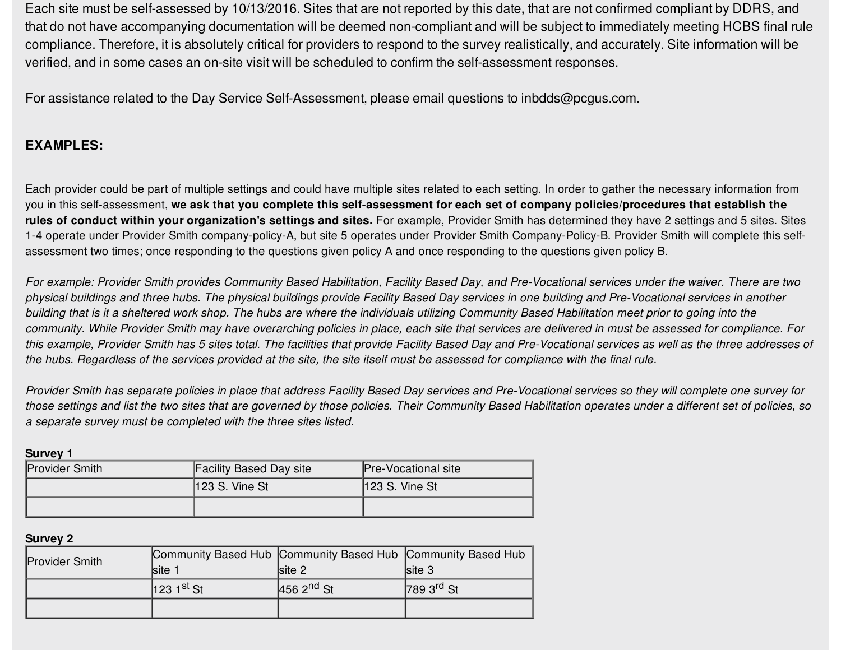Each site must be self-assessed by 10/13/2016. Sites that are not reported by this date, that are not confirmed compliant by DDRS, and that do not have accompanying documentation will be deemed non-compliant and will be subject to immediately meeting HCBS final rule compliance. Therefore, it is absolutely critical for providers to respond to the survey realistically, and accurately. Site information will be verified, and in some cases an on-site visit will be scheduled to confirm the self-assessment responses.

For assistance related to the Day Service Self-Assessment, please email questions to inbdds@pcgus.com.

#### **EXAMPLES:**

Each provider could be part of multiple settings and could have multiple sites related to each setting. In order to gather the necessary information from you in this self-assessment, we ask that you complete this self-assessment for each set of company policies/procedures that establish the **rules of conduct within your organization's settings and sites.** For example, Provider Smith has determined they have 2 settings and 5 sites. Sites 1-4 operate under Provider Smith company-policy-A, but site 5 operates under Provider Smith Company-Policy-B. Provider Smith will complete this selfassessment two times; once responding to the questions given policy A and once responding to the questions given policy B.

For example: Provider Smith provides Community Based Habilitation, Facility Based Day, and Pre-Vocational services under the waiver. There are two physical buildings and three hubs. The physical buildings provide Facility Based Day services in one building and Pre-Vocational services in another building that is it a sheltered work shop. The hubs are where the individuals utilizing Community Based Habilitation meet prior to going into the community. While Provider Smith may have overarching policies in place, each site that services are delivered in must be assessed for compliance. For this example, Provider Smith has 5 sites total. The facilities that provide Facility Based Day and Pre-Vocational services as well as the three addresses of the hubs. Regardless of the services provided at the site, the site itself must be assessed for compliance with the final rule.

Provider Smith has separate policies in place that address Facility Based Day services and Pre-Vocational services so they will complete one survey for those settings and list the two sites that are governed by those policies. Their Community Based Habilitation operates under a different set of policies, so *a separate survey must be completed with the three sites listed.*

| <b>Survey 1</b> |                                |                            |
|-----------------|--------------------------------|----------------------------|
| Provider Smith  | <b>Facility Based Day site</b> | <b>Pre-Vocational site</b> |
|                 | $123 S.$ Vine St               | $ 123 S.$ Vine St          |
|                 |                                |                            |

**Survey 2**

| <b>Provider Smith</b> |                          |                | Community Based Hub Community Based Hub Community Based Hub |
|-----------------------|--------------------------|----------------|-------------------------------------------------------------|
|                       | <b>Site 1</b>            | site 2         | $\textsf{site} 3$                                           |
|                       | $123$ 1 <sup>st</sup> St | $4562^{nd}$ St | $7893^{rd}$ St                                              |
|                       |                          |                |                                                             |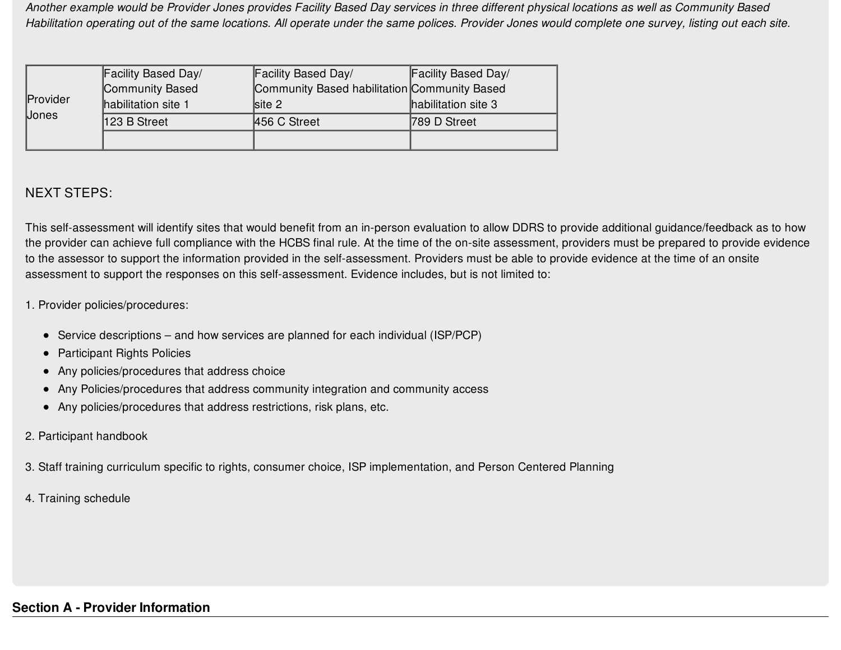Another example would be Provider Jones provides Facility Based Day services in three different physical locations as well as Community Based Habilitation operating out of the same locations. All operate under the same polices. Provider Jones would complete one survey, listing out each site.

|              | Facility Based Day/ | Facility Based Day/                          | Facility Based Day/ |
|--------------|---------------------|----------------------------------------------|---------------------|
|              | Community Based     | Community Based habilitation Community Based |                     |
| Provider     | habilitation site 1 | $\textsf{site} 2$                            | habilitation site 3 |
| <b>Jones</b> | 123 B Street        | 456 C Street                                 | 789 D Street        |
|              |                     |                                              |                     |

#### NEXT STEPS:

This self-assessment will identify sites that would benefit from an in-person evaluation to allow DDRS to provide additional guidance/feedback as to how the provider can achieve full compliance with the HCBS final rule. At the time of the on-site assessment, providers must be prepared to provide evidence to the assessor to support the information provided in the self-assessment. Providers must be able to provide evidence at the time of an onsite assessment to support the responses on this self-assessment. Evidence includes, but is not limited to:

#### 1. Provider policies/procedures:

- Service descriptions and how services are planned for each individual (ISP/PCP)
- Participant Rights Policies
- Any policies/procedures that address choice
- Any Policies/procedures that address community integration and community access
- Any policies/procedures that address restrictions, risk plans, etc.
- 2. Participant handbook
- 3. Staff training curriculum specific to rights, consumer choice, ISP implementation, and Person Centered Planning
- 4. Training schedule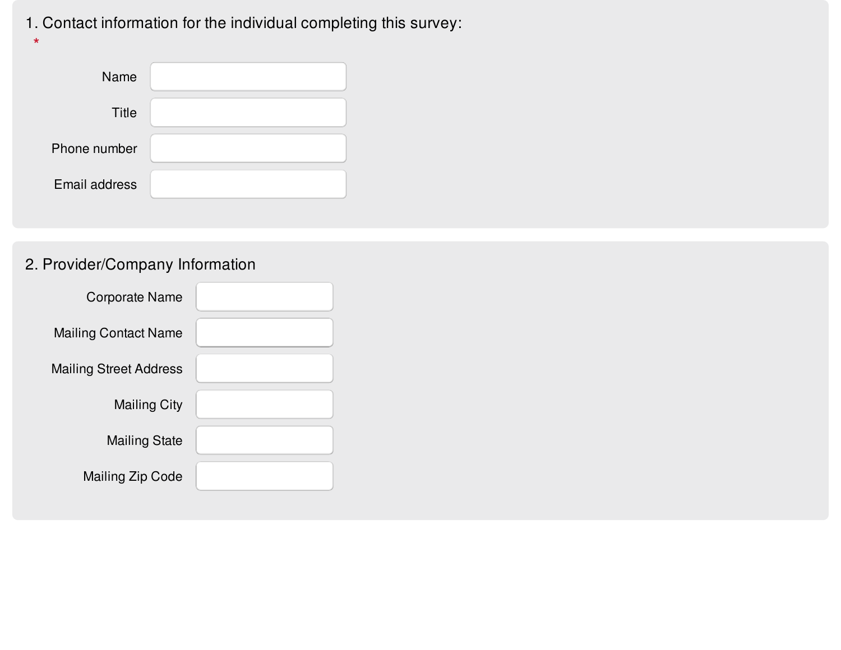# 1. Contact information for the individual completing this survey:

| Name          |  |
|---------------|--|
| <b>Title</b>  |  |
| Phone number  |  |
| Email address |  |

# 2. Provider/Company Information

**\***

| <b>Corporate Name</b>         |  |
|-------------------------------|--|
| <b>Mailing Contact Name</b>   |  |
| <b>Mailing Street Address</b> |  |
| <b>Mailing City</b>           |  |
| <b>Mailing State</b>          |  |
| <b>Mailing Zip Code</b>       |  |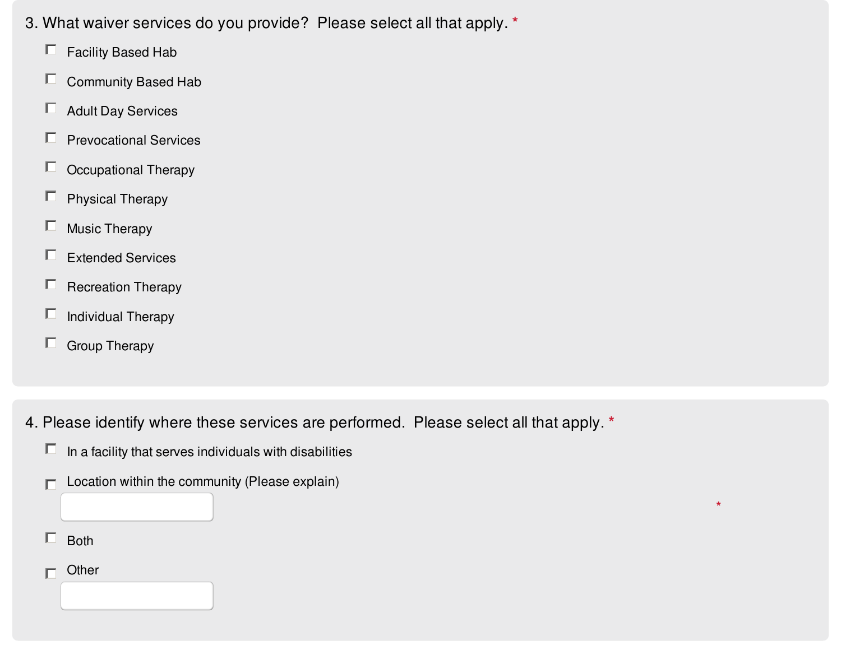- 3. What waiver services do you provide? Please select all that apply. **\***
	- $\Box$  Facility Based Hab
	- $\Box$  Community Based Hab
	- $\Box$  Adult Day Services
	- $\Box$  Prevocational Services
	- $\Box$  Occupational Therapy
	- $\Box$  Physical Therapy
	- $\Box$  Music Therapy
	- Extended Services
	- $\Box$  Recreation Therapy
	- $\Box$  Individual Therapy
	- $\Box$  Group Therapy
- 4. Please identify where these services are performed. Please select all that apply. **\***

**\***

- $\Box$  In a facility that serves individuals with disabilities
- Location within the community (Please explain)  $\Box$
- $\Box$  Both
- **Other**  $\Box$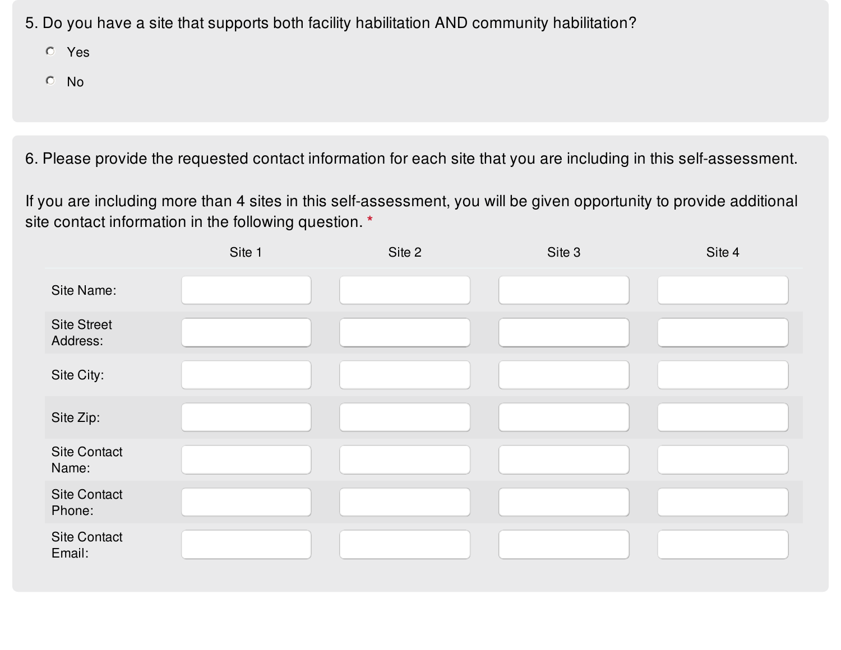- 5. Do you have a site that supports both facility habilitation AND community habilitation?
	- Yes
	- No

6. Please provide the requested contact information for each site that you are including in this self-assessment.

If you are including more than 4 sites in this self-assessment, you will be given opportunity to provide additional site contact information in the following question. **\***

|                                | Site 1 | Site 2 | Site 3 | Site 4 |
|--------------------------------|--------|--------|--------|--------|
| Site Name:                     |        |        |        |        |
| <b>Site Street</b><br>Address: |        |        |        |        |
| Site City:                     |        |        |        |        |
| Site Zip:                      |        |        |        |        |
| <b>Site Contact</b><br>Name:   |        |        |        |        |
| <b>Site Contact</b><br>Phone:  |        |        |        |        |
| <b>Site Contact</b><br>Email:  |        |        |        |        |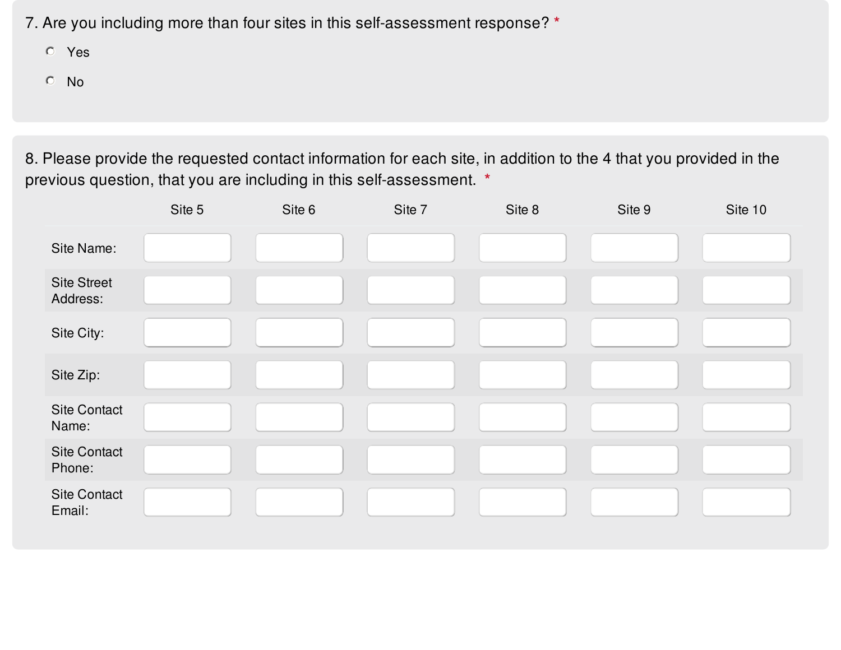7. Are you including more than four sites in this self-assessment response? **\***

- Yes
- No

8. Please provide the requested contact information for each site, in addition to the 4 that you provided in the previous question, that you are including in this self-assessment. **\***

|                                | Site 5 | Site 6 | Site 7 | Site 8 | Site 9 | Site 10 |
|--------------------------------|--------|--------|--------|--------|--------|---------|
| Site Name:                     |        |        |        |        |        |         |
| <b>Site Street</b><br>Address: |        |        |        |        |        |         |
| Site City:                     |        |        |        |        |        |         |
| Site Zip:                      |        |        |        |        |        |         |
| <b>Site Contact</b><br>Name:   |        |        |        |        |        |         |
| <b>Site Contact</b><br>Phone:  |        |        |        |        |        |         |
| <b>Site Contact</b><br>Email:  |        |        |        |        |        |         |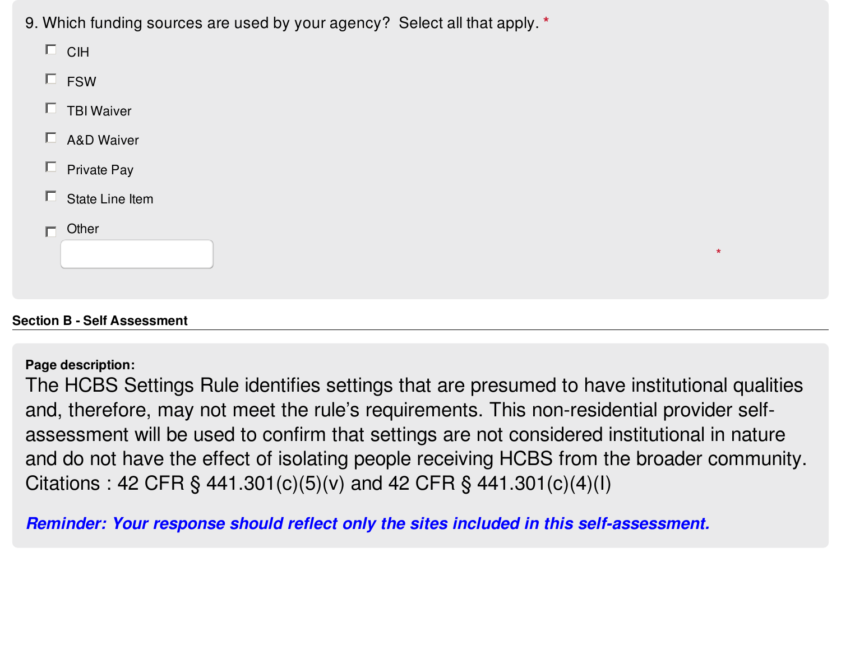9. Which funding sources are used by your agency? Select all that apply. **\***

| 7 H |
|-----|
|-----|

- $\square$  FSW
- $\Box$  TBI Waiver
- $\square$  A&D Waiver
- $\Box$  Private Pay
- $\Box$  State Line Item
- **Other**  $\Box$

# **Section B - Self Assessment**

## **Page description:**

The HCBS Settings Rule identifies settings that are presumed to have institutional qualities and, therefore, may not meet the rule's requirements. This non-residential provider selfassessment will be used to confirm that settings are not considered institutional in nature and do not have the effect of isolating people receiving HCBS from the broader community. Citations : 42 CFR § 441.301(c)(5)(v) and 42 CFR § 441.301(c)(4)(l)

**\***

*Reminder: Your response should reflect only the sites included in this self-assessment.*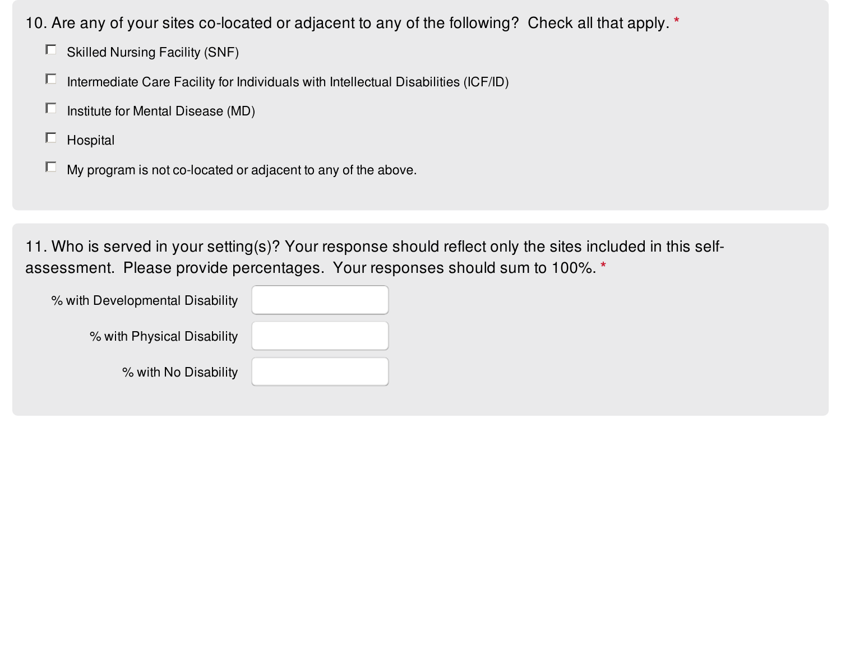10. Are any of your sites co-located or adjacent to any of the following? Check all that apply. **\***

- $\Box$  Skilled Nursing Facility (SNF)
- $\Box$  Intermediate Care Facility for Individuals with Intellectual Disabilities (ICF/ID)
- $\Box$  Institute for Mental Disease (MD)
- $\Box$  Hospital
- $\Box$  My program is not co-located or adjacent to any of the above.

11. Who is served in your setting(s)? Your response should reflect only the sites included in this selfassessment. Please provide percentages. Your responses should sum to 100%. **\***

| % with Developmental Disability |  |
|---------------------------------|--|
| % with Physical Disability      |  |
| % with No Disability            |  |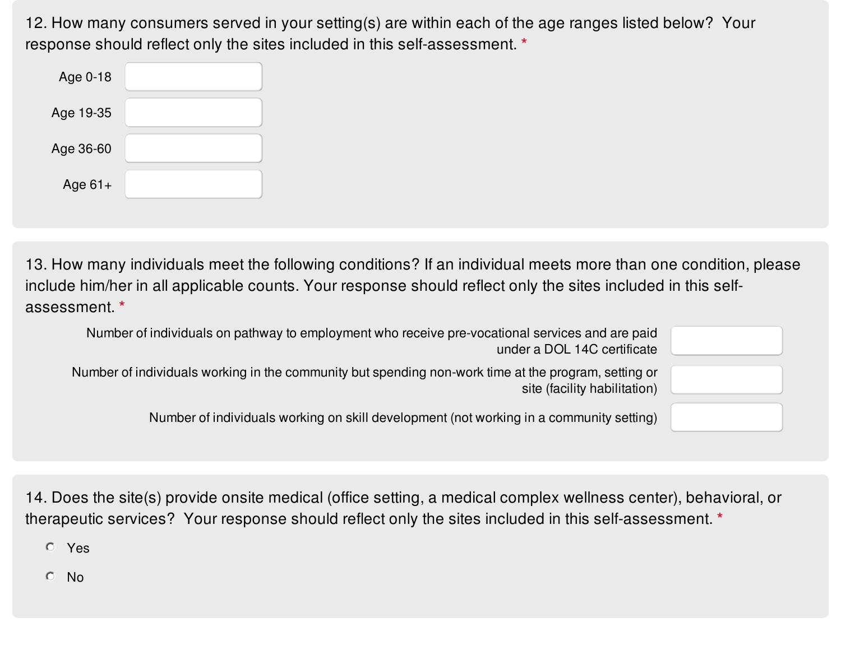12. How many consumers served in your setting(s) are within each of the age ranges listed below? Your response should reflect only the sites included in this self-assessment. **\***

| Age 0-18  |  |
|-----------|--|
| Age 19-35 |  |
| Age 36-60 |  |
| Age $61+$ |  |

13. How many individuals meet the following conditions? If an individual meets more than one condition, please include him/her in all applicable counts. Your response should reflect only the sites included in this selfassessment. **\***

| Number of individuals on pathway to employment who receive pre-vocational services and are paid<br>under a DOL 14C certificate       |  |
|--------------------------------------------------------------------------------------------------------------------------------------|--|
| Number of individuals working in the community but spending non-work time at the program, setting or<br>site (facility habilitation) |  |
| Number of individuals working on skill development (not working in a community setting)                                              |  |

14. Does the site(s) provide onsite medical (office setting, a medical complex wellness center), behavioral, or therapeutic services? Your response should reflect only the sites included in this self-assessment. **\***

Yes

 $O$  No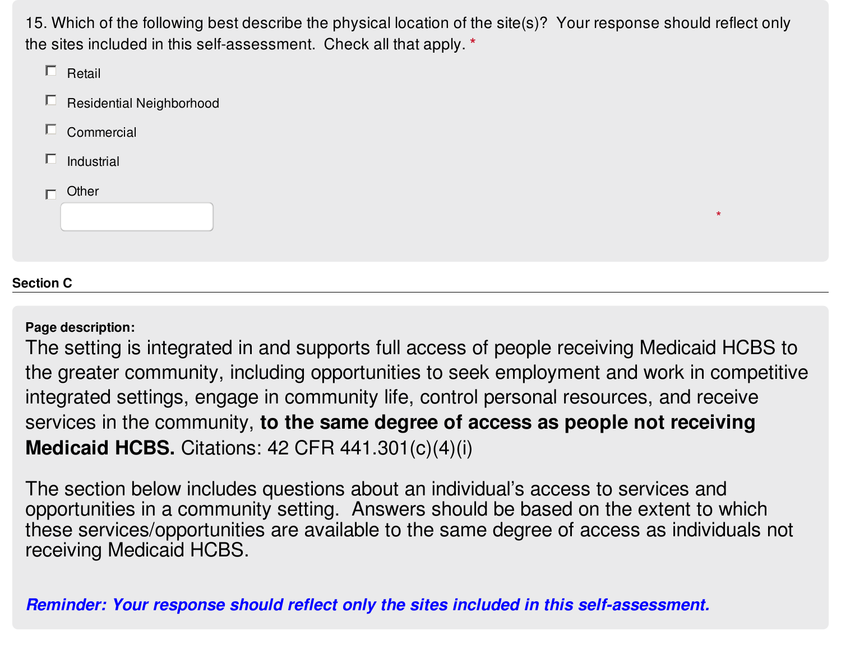15. Which of the following best describe the physical location of the site(s)? Your response should reflect only the sites included in this self-assessment. Check all that apply. **\***

|                  | Retail                   |
|------------------|--------------------------|
|                  | Residential Neighborhood |
| $\Box$           | Commercial               |
| П                | Industrial               |
|                  | Other<br>$\star$         |
| <b>Section C</b> |                          |

**Page description:**

The setting is integrated in and supports full access of people receiving Medicaid HCBS to the greater community, including opportunities to seek employment and work in competitive integrated settings, engage in community life, control personal resources, and receive services in the community, **to the same degree of access as people not receiving Medicaid HCBS.** Citations: 42 CFR 441.301(c)(4)(i)

The section below includes questions about an individual's access to services and opportunities in a community setting. Answers should be based on the extent to which these services/opportunities are available to the same degree of access as individuals not receiving Medicaid HCBS.

*Reminder: Your response should reflect only the sites included in this self-assessment.*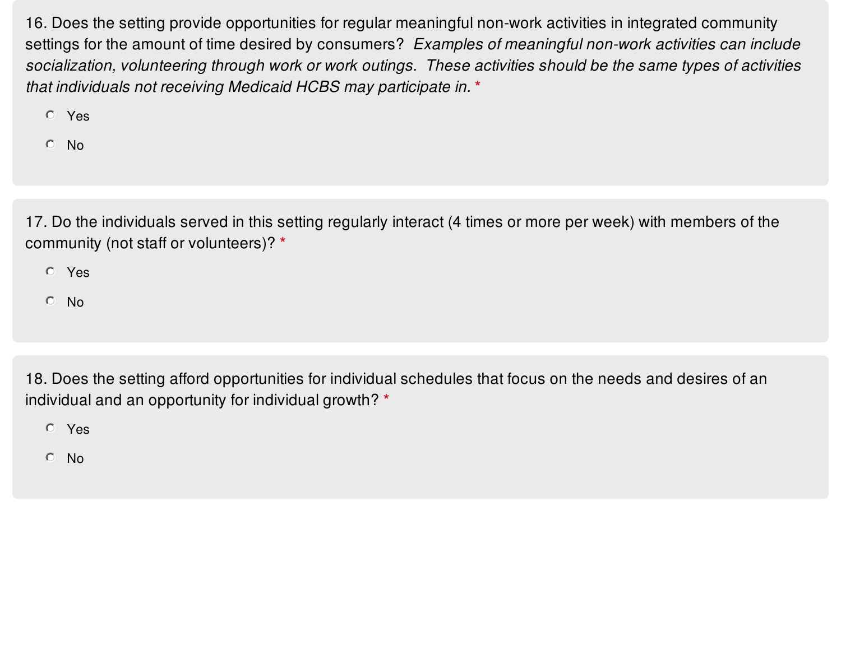16. Does the setting provide opportunities for regular meaningful non-work activities in integrated community settings for the amount of time desired by consumers? *Examples of meaningful non-work activities can include* socialization, volunteering through work or work outings. These activities should be the same types of activities *that individuals not receiving Medicaid HCBS may participate in.* **\***

- Yes
- No

17. Do the individuals served in this setting regularly interact (4 times or more per week) with members of the community (not staff or volunteers)? **\***

Yes

 $O$  No

18. Does the setting afford opportunities for individual schedules that focus on the needs and desires of an individual and an opportunity for individual growth? **\***

Yes

No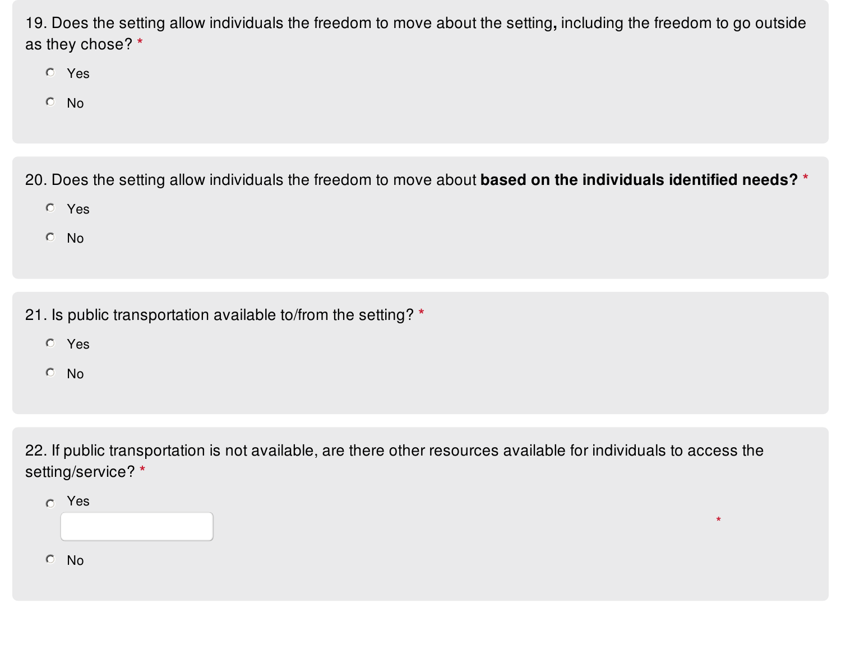19. Does the setting allow individuals the freedom to move about the setting**,** including the freedom to go outside as they chose? **\***

- Yes
- No

20. Does the setting allow individuals the freedom to move about **based on the individuals identified needs? \***

- Yes
- No
- 21. Is public transportation available to/from the setting? **\***
	- Yes
	- No

22. If public transportation is not available, are there other resources available for individuals to access the setting/service? **\***

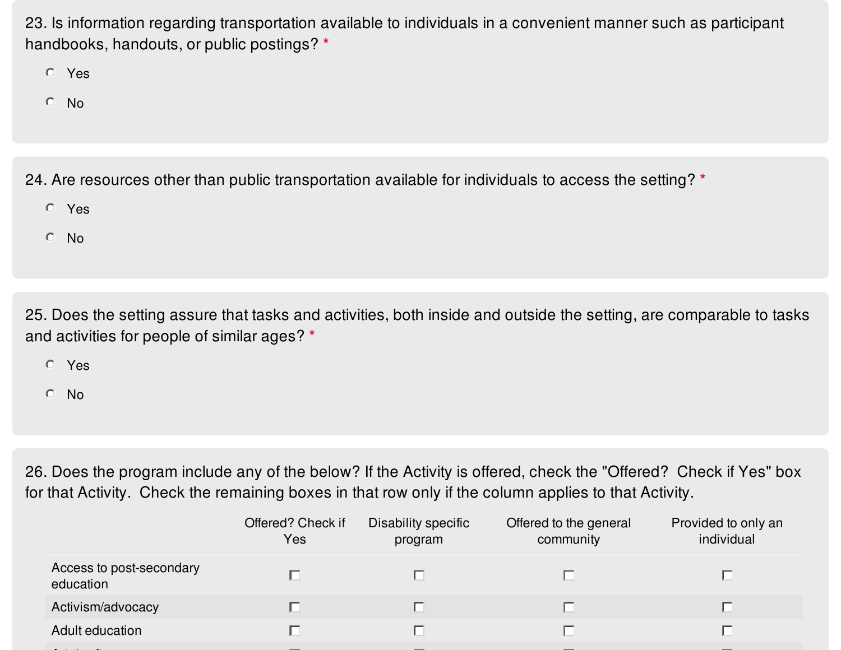23. Is information regarding transportation available to individuals in a convenient manner such as participant handbooks, handouts, or public postings? **\***

Yes

No

24. Are resources other than public transportation available for individuals to access the setting? **\***

- Yes
- No

25. Does the setting assure that tasks and activities, both inside and outside the setting, are comparable to tasks and activities for people of similar ages? **\***

Yes

No

26. Does the program include any of the below? If the Activity is offered, check the "Offered? Check if Yes" box for that Activity. Check the remaining boxes in that row only if the column applies to that Activity.

|                                       | Offered? Check if<br>Yes | Disability specific<br>program | Offered to the general<br>community | Provided to only an<br>individual |
|---------------------------------------|--------------------------|--------------------------------|-------------------------------------|-----------------------------------|
| Access to post-secondary<br>education |                          |                                |                                     |                                   |
| Activism/advocacy                     |                          |                                |                                     |                                   |
| Adult education                       |                          |                                |                                     |                                   |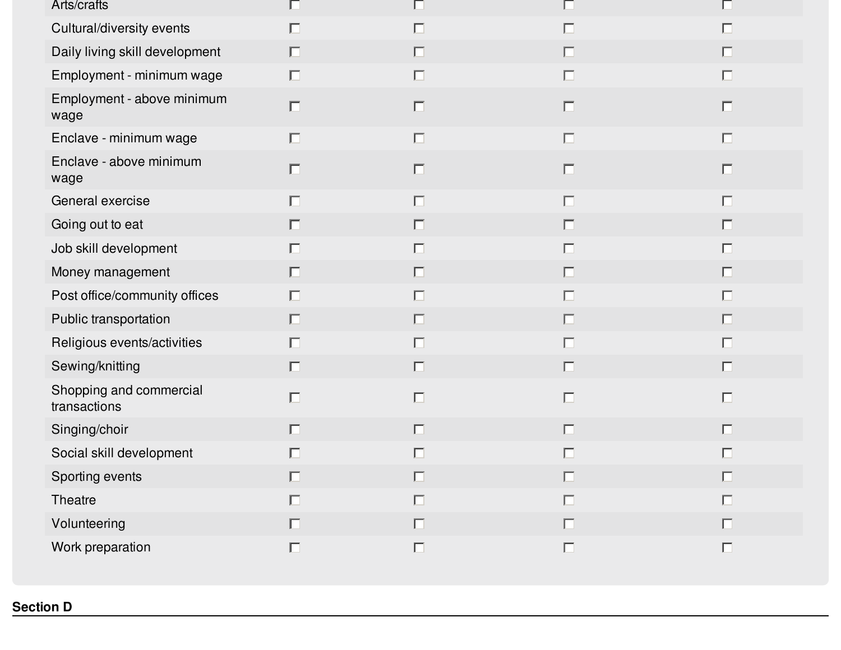| Arts/crafts                             |        | L.     |        |        |
|-----------------------------------------|--------|--------|--------|--------|
| Cultural/diversity events               | $\Box$ | $\Box$ | $\Box$ | $\Box$ |
| Daily living skill development          | $\Box$ | $\Box$ | $\Box$ | $\Box$ |
| Employment - minimum wage               | $\Box$ | $\Box$ | $\Box$ | $\Box$ |
| Employment - above minimum<br>wage      | $\Box$ | $\Box$ | $\Box$ | $\Box$ |
| Enclave - minimum wage                  | $\Box$ | $\Box$ | $\Box$ | $\Box$ |
| Enclave - above minimum<br>wage         | $\Box$ | $\Box$ | $\Box$ | $\Box$ |
| General exercise                        | $\Box$ | $\Box$ | $\Box$ | $\Box$ |
| Going out to eat                        | $\Box$ | $\Box$ | $\Box$ | $\Box$ |
| Job skill development                   | $\Box$ | $\Box$ | П      | $\Box$ |
| Money management                        | $\Box$ | 囗      | $\Box$ | $\Box$ |
| Post office/community offices           | $\Box$ | $\Box$ | $\Box$ | $\Box$ |
| Public transportation                   | $\Box$ | $\Box$ | $\Box$ | $\Box$ |
| Religious events/activities             | $\Box$ | $\Box$ | $\Box$ | $\Box$ |
| Sewing/knitting                         | $\Box$ | $\Box$ | $\Box$ | $\Box$ |
| Shopping and commercial<br>transactions | $\Box$ | $\Box$ | $\Box$ | $\Box$ |
| Singing/choir                           | $\Box$ | $\Box$ | $\Box$ | $\Box$ |
| Social skill development                | $\Box$ | $\Box$ | г      | 匸      |
| Sporting events                         | $\Box$ | $\Box$ | $\Box$ | $\Box$ |
| Theatre                                 | $\Box$ | $\Box$ | $\Box$ | $\Box$ |
| Volunteering                            | $\Box$ | $\Box$ | $\Box$ | $\Box$ |
| Work preparation                        | $\Box$ | $\Box$ | $\Box$ | $\Box$ |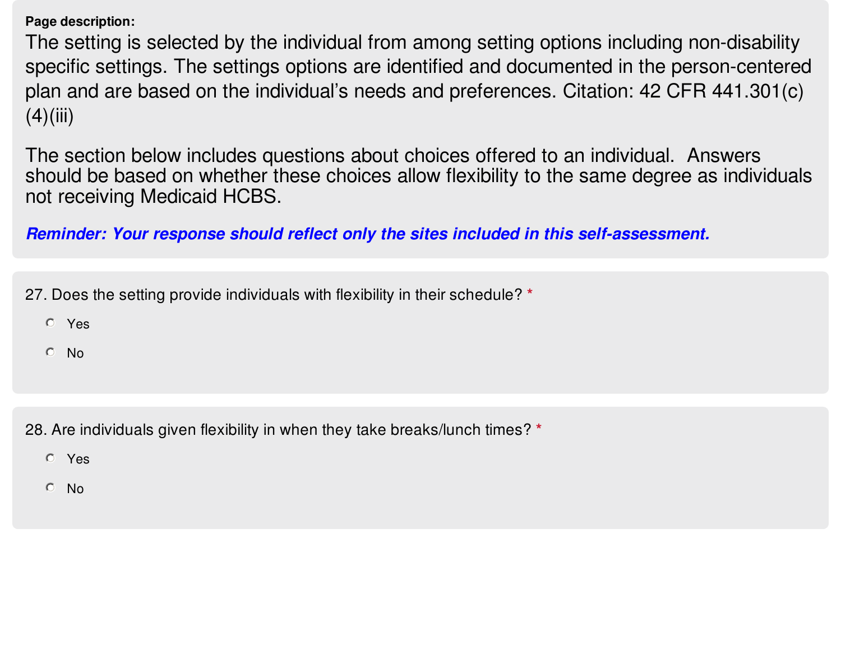**Page description:**

The setting is selected by the individual from among setting options including non-disability specific settings. The settings options are identified and documented in the person-centered plan and are based on the individual's needs and preferences. Citation: 42 CFR 441.301(c)  $(4)(iii)$ 

The section below includes questions about choices offered to an individual. Answers should be based on whether these choices allow flexibility to the same degree as individuals not receiving Medicaid HCBS.

*Reminder: Your response should reflect only the sites included in this self-assessment.*

27. Does the setting provide individuals with flexibility in their schedule? **\***

- Yes
- No

28. Are individuals given flexibility in when they take breaks/lunch times? **\***

- Yes
- No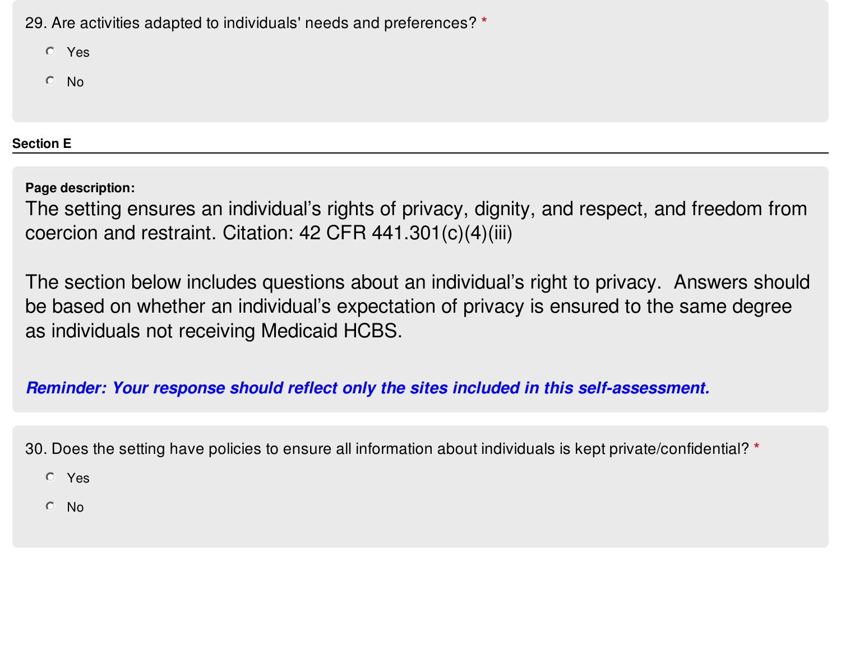29. Are activities adapted to individuals' needs and preferences? **\***

Yes

No

**Section E**

**Page description:**

The setting ensures an individual's rights of privacy, dignity, and respect, and freedom from coercion and restraint. Citation: 42 CFR 441.301(c)(4)(iii)

The section below includes questions about an individual's right to privacy. Answers should be based on whether an individual's expectation of privacy is ensured to the same degree as individuals not receiving Medicaid HCBS.

*Reminder: Your response should reflect only the sites included in this self-assessment.*

30. Does the setting have policies to ensure all information about individuals is kept private/confidential? **\***

Yes

No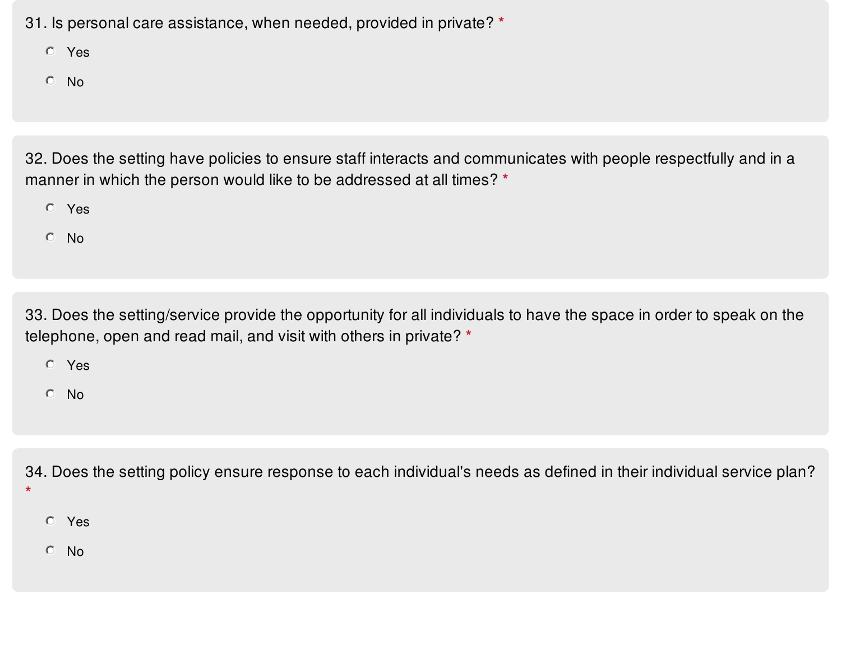31. Is personal care assistance, when needed, provided in private? **\***

Yes

No

32. Does the setting have policies to ensure staff interacts and communicates with people respectfully and in a manner in which the person would like to be addressed at all times? **\***

Yes

No

33. Does the setting/service provide the opportunity for all individuals to have the space in order to speak on the telephone, open and read mail, and visit with others in private? **\***

Yes

No

34. Does the setting policy ensure response to each individual's needs as defined in their individual service plan?

Yes

**\***

No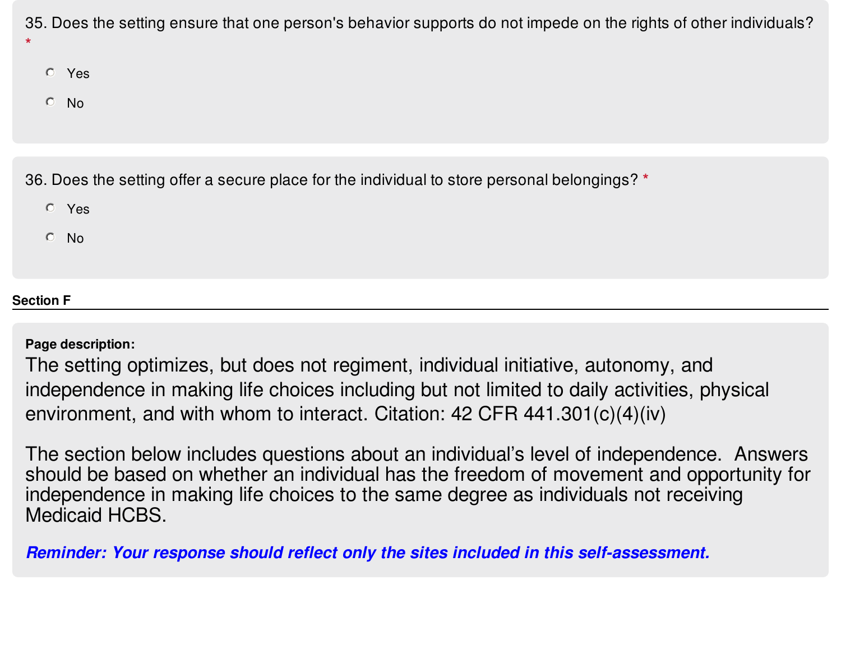35. Does the setting ensure that one person's behavior supports do not impede on the rights of other individuals? **\***

- Yes
- $O$  No

36. Does the setting offer a secure place for the individual to store personal belongings? **\***

- Yes
- No

# **Section F**

**Page description:**

The setting optimizes, but does not regiment, individual initiative, autonomy, and independence in making life choices including but not limited to daily activities, physical environment, and with whom to interact. Citation: 42 CFR 441.301(c)(4)(iv)

The section below includes questions about an individual's level of independence. Answers should be based on whether an individual has the freedom of movement and opportunity for independence in making life choices to the same degree as individuals not receiving Medicaid HCBS.

*Reminder: Your response should reflect only the sites included in this self-assessment.*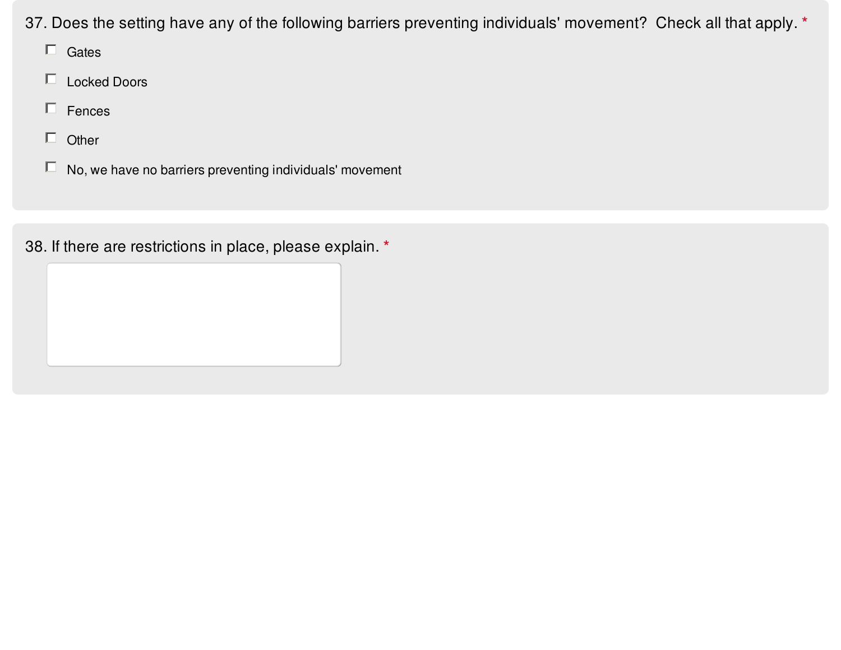37. Does the setting have any of the following barriers preventing individuals' movement? Check all that apply. **\***

- $\Box$  Gates
- Locked Doors
- $\Box$  Fences
- $\Box$  Other
- $\Box$  No, we have no barriers preventing individuals' movement

38. If there are restrictions in place, please explain. **\***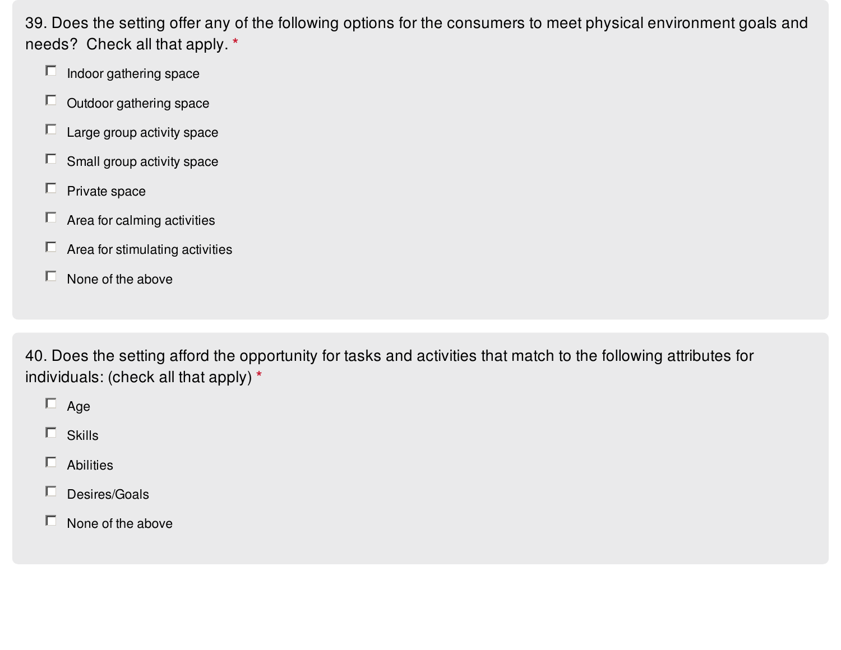39. Does the setting offer any of the following options for the consumers to meet physical environment goals and needs? Check all that apply. **\***

- $\Box$  Indoor gathering space
- $\Box$  Outdoor gathering space
- $\Box$  Large group activity space
- $\Box$  Small group activity space
- $\Box$  Private space
- $\Box$  Area for calming activities
- $\Box$  Area for stimulating activities
- $\Box$  None of the above

40. Does the setting afford the opportunity for tasks and activities that match to the following attributes for individuals: (check all that apply) **\***

- $\Box$  Age
- $\Box$  Skills
- $\Box$  Abilities
- $\Box$  Desires/Goals
- $\Box$  None of the above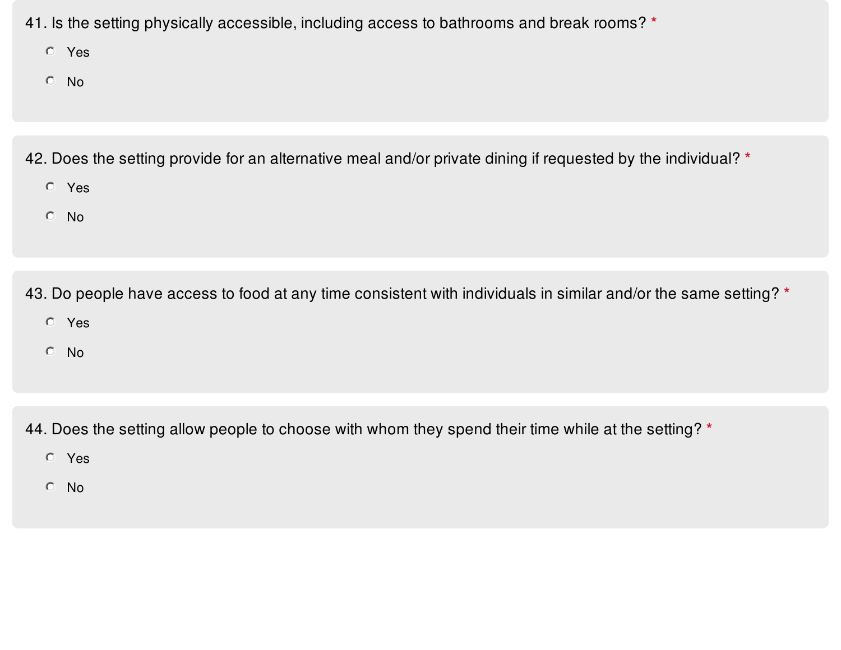- 41. Is the setting physically accessible, including access to bathrooms and break rooms? **\***
	- Yes
	- No
- 42. Does the setting provide for an alternative meal and/or private dining if requested by the individual? **\***
	- Yes
	- No

43. Do people have access to food at any time consistent with individuals in similar and/or the same setting? **\***

- Yes
- No

44. Does the setting allow people to choose with whom they spend their time while at the setting? **\***

- Yes
- No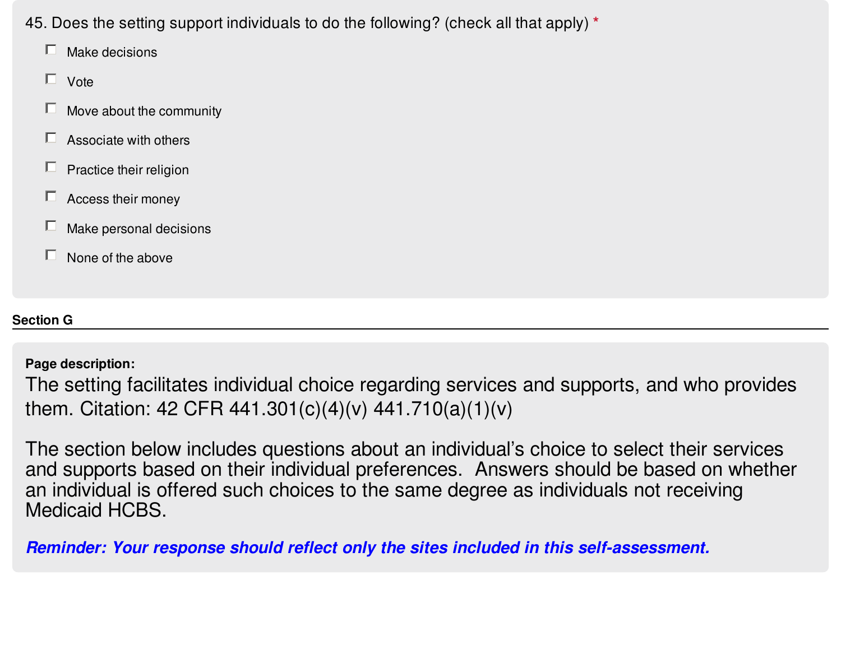- 45. Does the setting support individuals to do the following? (check all that apply) **\***
	- $\Box$  Make decisions
	- $\Box$  Vote
	- $\Box$  Move about the community
	- $\Box$  Associate with others
	- $\Box$  Practice their religion
	- $\Box$  Access their money
	- $\Box$  Make personal decisions
	- $\Box$  None of the above

# **Section G**

# **Page description:**

The setting facilitates individual choice regarding services and supports, and who provides them. Citation: 42 CFR 441.301(c)(4)(v) 441.710(a)(1)(v)

The section below includes questions about an individual's choice to select their services and supports based on their individual preferences. Answers should be based on whether an individual is offered such choices to the same degree as individuals not receiving Medicaid HCBS.

*Reminder: Your response should reflect only the sites included in this self-assessment.*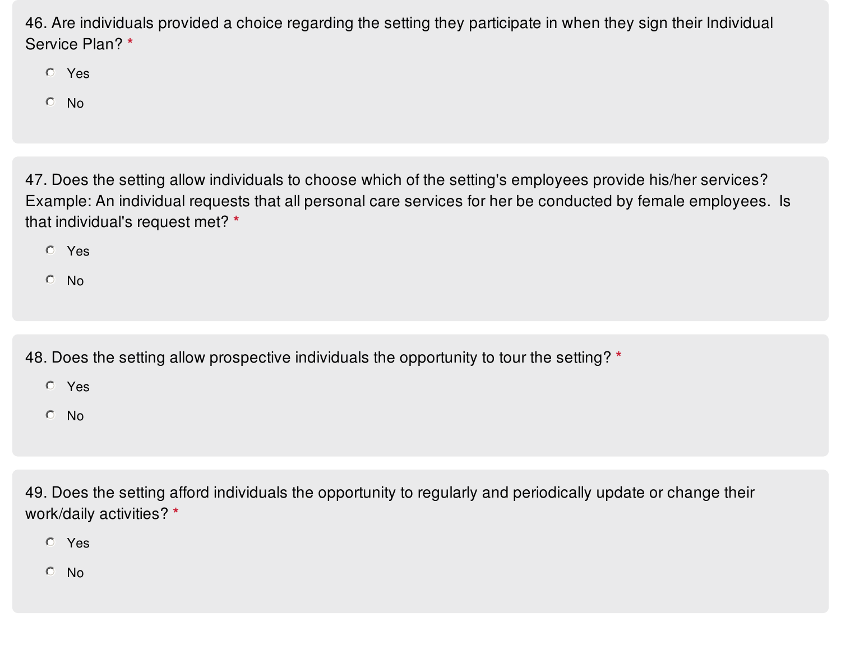46. Are individuals provided a choice regarding the setting they participate in when they sign their Individual Service Plan? **\***

Yes

No

47. Does the setting allow individuals to choose which of the setting's employees provide his/her services? Example: An individual requests that all personal care services for her be conducted by female employees. Is that individual's request met? **\***

Yes

No

48. Does the setting allow prospective individuals the opportunity to tour the setting? **\***

Yes

No

49. Does the setting afford individuals the opportunity to regularly and periodically update or change their work/daily activities? **\***

Yes

No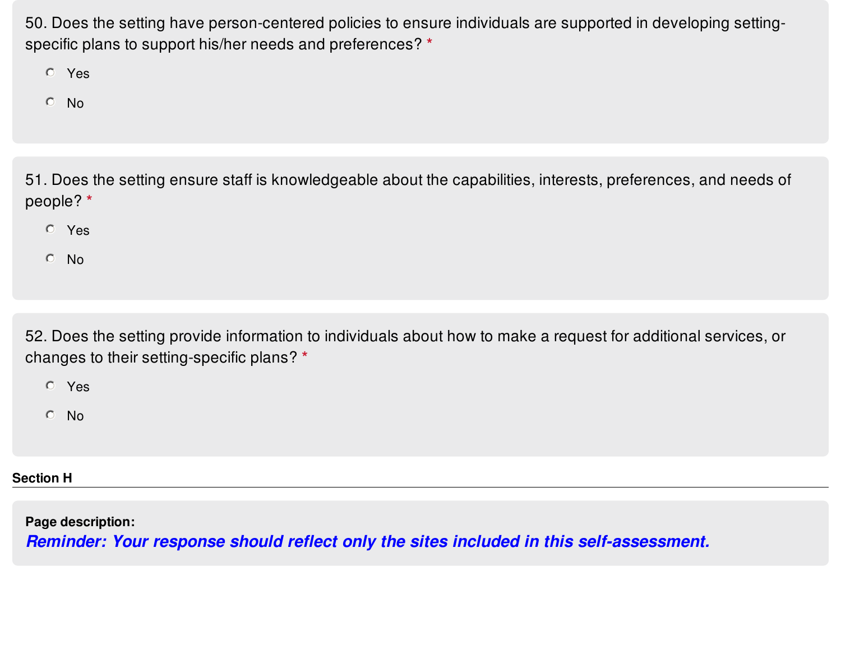50. Does the setting have person-centered policies to ensure individuals are supported in developing settingspecific plans to support his/her needs and preferences? **\***

Yes

No

51. Does the setting ensure staff is knowledgeable about the capabilities, interests, preferences, and needs of people? **\***

- Yes
- No

52. Does the setting provide information to individuals about how to make a request for additional services, or changes to their setting-specific plans? **\***

Yes

No

**Section H**

**Page description:**

*Reminder: Your response should reflect only the sites included in this self-assessment.*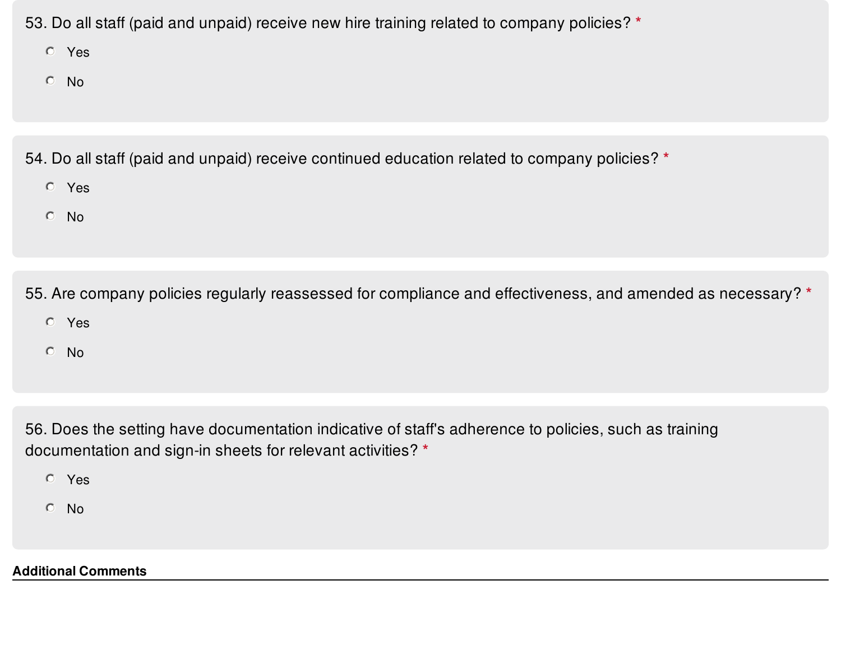53. Do all staff (paid and unpaid) receive new hire training related to company policies? **\***

Yes

No

54. Do all staff (paid and unpaid) receive continued education related to company policies? **\***

- Yes
- No

55. Are company policies regularly reassessed for compliance and effectiveness, and amended as necessary? **\***

- Yes
- No

56. Does the setting have documentation indicative of staff's adherence to policies, such as training documentation and sign-in sheets for relevant activities? **\***

- Yes
- No

**Additional Comments**